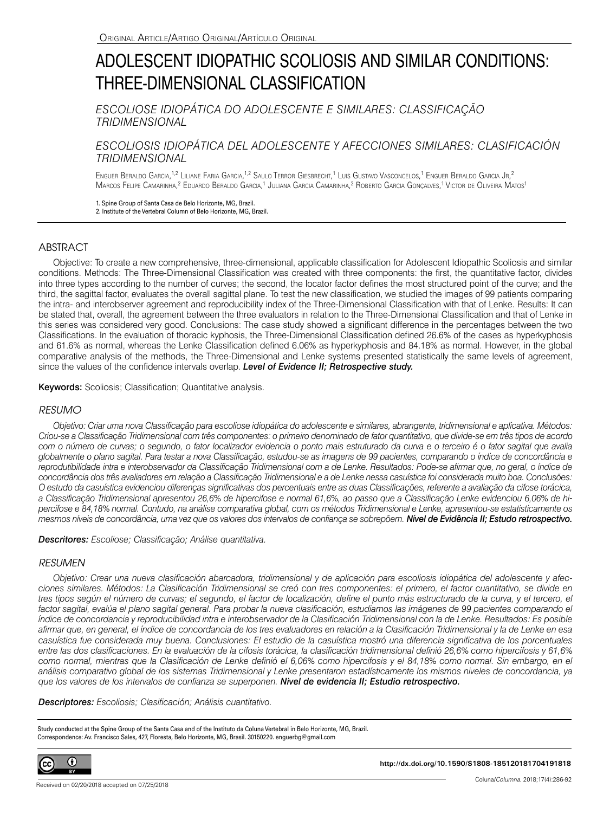# ADOLESCENT IDIOPATHIC SCOLIOSIS AND SIMILAR CONDITIONS: THREE-DIMENSIONAL CLASSIFICATION

*ESCOLIOSE IDIOPÁTICA DO ADOLESCENTE E SIMILARES: CLASSIFICAÇÃO TRIDIMENSIONAL*

# *ESCOLIOSIS IDIOPÁTICA DEL ADOLESCENTE Y AFECCIONES SIMILARES: CLASIFICACIÓN TRIDIMENSIONAL*

Enguer Beraldo Garcia,<sup>1,2</sup> Liliane Faria Garcia,<sup>1,2</sup> Saulo Terror Giesbrecht,<sup>1</sup> Luis Gustavo Vasconcelos,<sup>1</sup> Enguer Beraldo Garcia Jr,<sup>2</sup> Marcos Felipe Camarinha,<sup>2</sup> Eduardo Beraldo Garcia,<sup>1</sup> Juliana Garcia Camarinha,<sup>2</sup> Roberto Garcia Gonçalves,<sup>1</sup> Victor de Oliveira Matos<sup>1</sup>

1. Spine Group of Santa Casa de Belo Horizonte, MG, Brazil. 2. Institute of the Vertebral Column of Belo Horizonte, MG, Brazil.

## **ABSTRACT**

Objective: To create a new comprehensive, three-dimensional, applicable classification for Adolescent Idiopathic Scoliosis and similar conditions. Methods: The Three-Dimensional Classification was created with three components: the first, the quantitative factor, divides into three types according to the number of curves; the second, the locator factor defines the most structured point of the curve; and the third, the sagittal factor, evaluates the overall sagittal plane. To test the new classification, we studied the images of 99 patients comparing the intra- and interobserver agreement and reproducibility index of the Three-Dimensional Classification with that of Lenke. Results: It can be stated that, overall, the agreement between the three evaluators in relation to the Three-Dimensional Classification and that of Lenke in this series was considered very good. Conclusions: The case study showed a significant difference in the percentages between the two Classifications. In the evaluation of thoracic kyphosis, the Three-Dimensional Classification defined 26.6% of the cases as hyperkyphosis and 61.6% as normal, whereas the Lenke Classification defined 6.06% as hyperkyphosis and 84.18% as normal. However, in the global comparative analysis of the methods, the Three-Dimensional and Lenke systems presented statistically the same levels of agreement, since the values of the confidence intervals overlap. *Level of Evidence II; Retrospective study.*

Keywords: Scoliosis; Classification; Quantitative analysis.

#### *RESUMO*

*Objetivo: Criar uma nova Classificação para escoliose idiopática do adolescente e similares, abrangente, tridimensional e aplicativa. Métodos: Criou-se a Classificação Tridimensional com três componentes: o primeiro denominado de fator quantitativo, que divide-se em três tipos de acordo com o número de curvas; o segundo, o fator localizador evidencia o ponto mais estruturado da curva e o terceiro é o fator sagital que avalia globalmente o plano sagital. Para testar a nova Classificação, estudou-se as imagens de 99 pacientes, comparando o índice de concordância e*  reprodutibilidade intra e interobservador da Classificação Tridimensional com a de Lenke. Resultados: Pode-se afirmar que, no geral, o índice de *concordância dos três avaliadores em relação a Classificação Tridimensional e a de Lenke nessa casuística foi considerada muito boa. Conclusões: O estudo da casuística evidenciou diferenças significativas dos percentuais entre as duas Classificações, referente a avaliação da cifose torácica, a Classificação Tridimensional apresentou 26,6% de hipercifose e normal 61,6%, ao passo que a Classificação Lenke evidenciou 6,06% de hipercifose e 84,18% normal. Contudo, na análise comparativa global, com os métodos Tridimensional e Lenke, apresentou-se estatisticamente os mesmos níveis de concordância, uma vez que os valores dos intervalos de confiança se sobrepõem. Nível de Evidência II; Estudo retrospectivo.*

*Descritores: Escoliose; Classificação; Análise quantitativa.*

#### *RESUMEN*

*Objetivo: Crear una nueva clasificación abarcadora, tridimensional y de aplicación para escoliosis idiopática del adolescente y afecciones similares. Métodos: La Clasificación Tridimensional se creó con tres componentes: el primero, el factor cuantitativo, se divide en*  tres tipos según el número de curvas; el segundo, el factor de localización, define el punto más estructurado de la curva, y el tercero, el factor sagital, evalúa el plano sagital general. Para probar la nueva clasificación, estudiamos las imágenes de 99 pacientes comparando el *índice de concordancia y reproducibilidad intra e interobservador de la Clasificación Tridimensional con la de Lenke. Resultados: Es posible afirmar que, en general, el índice de concordancia de los tres evaluadores en relación a la Clasificación Tridimensional y la de Lenke en esa casuística fue considerada muy buena. Conclusiones: El estudio de la casuística mostró una diferencia significativa de los porcentuales entre las dos clasificaciones. En la evaluación de la cifosis torácica, la clasificación tridimensional definió 26,6% como hipercifosis y 61,6% como normal, mientras que la Clasificación de Lenke definió el 6,06% como hipercifosis y el 84,18% como normal. Sin embargo, en el análisis comparativo global de los sistemas Tridimensional y Lenke presentaron estadísticamente los mismos niveles de concordancia, ya que los valores de los intervalos de confianza se superponen. Nivel de evidencia II; Estudio retrospectivo.*

*Descriptores: Escoliosis; Clasificación; Análisis cuantitativo.*

Study conducted at the Spine Group of the Santa Casa and of the Instituto da Coluna Vertebral in Belo Horizonte, MG, Brazil. Correspondence: Av. Francisco Sales, 427, Floresta, Belo Horizonte, MG, Brasil. 30150220. enguerbg@gmail.com



**http://dx.doi.org/10.1590/S1808-185120181704191818**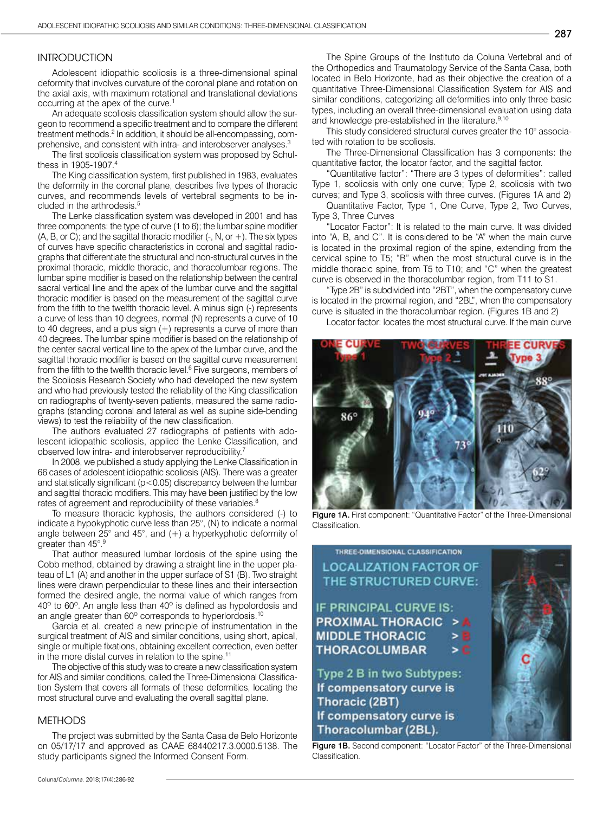#### **INTRODUCTION**

Adolescent idiopathic scoliosis is a three-dimensional spinal deformity that involves curvature of the coronal plane and rotation on the axial axis, with maximum rotational and translational deviations occurring at the apex of the curve.<sup>1</sup>

An adequate scoliosis classification system should allow the surgeon to recommend a specific treatment and to compare the different treatment methods.<sup>2</sup> In addition, it should be all-encompassing, comprehensive, and consistent with intra- and interobserver analyses.<sup>3</sup>

The first scoliosis classification system was proposed by Schulthess in 1905-1907<sup>4</sup>

The King classification system, first published in 1983, evaluates the deformity in the coronal plane, describes five types of thoracic curves, and recommends levels of vertebral segments to be included in the arthrodesis.<sup>5</sup>

The Lenke classification system was developed in 2001 and has three components: the type of curve (1 to 6); the lumbar spine modifier  $(A, B, or C)$ ; and the sagittal thoracic modifier  $(-, N, or +)$ . The six types of curves have specific characteristics in coronal and sagittal radiographs that differentiate the structural and non-structural curves in the proximal thoracic, middle thoracic, and thoracolumbar regions. The lumbar spine modifier is based on the relationship between the central sacral vertical line and the apex of the lumbar curve and the sagittal thoracic modifier is based on the measurement of the sagittal curve from the fifth to the twelfth thoracic level. A minus sign (-) represents a curve of less than 10 degrees, normal (N) represents a curve of 10 to 40 degrees, and a plus sign (+) represents a curve of more than 40 degrees. The lumbar spine modifier is based on the relationship of the center sacral vertical line to the apex of the lumbar curve, and the sagittal thoracic modifier is based on the sagittal curve measurement from the fifth to the twelfth thoracic level.<sup>6</sup> Five surgeons, members of the Scoliosis Research Society who had developed the new system and who had previously tested the reliability of the King classification on radiographs of twenty-seven patients, measured the same radiographs (standing coronal and lateral as well as supine side-bending views) to test the reliability of the new classification.

The authors evaluated 27 radiographs of patients with adolescent idiopathic scoliosis, applied the Lenke Classification, and observed low intra- and interobserver reproducibility.7

In 2008, we published a study applying the Lenke Classification in 66 cases of adolescent idiopathic scoliosis (AIS). There was a greater and statistically significant (p<0.05) discrepancy between the lumbar and sagittal thoracic modifiers. This may have been justified by the low rates of agreement and reproducibility of these variables.<sup>8</sup>

To measure thoracic kyphosis, the authors considered (-) to indicate a hypokyphotic curve less than 25°, (N) to indicate a normal angle between 25° and 45°, and (+) a hyperkyphotic deformity of greater than 45°.9

That author measured lumbar lordosis of the spine using the Cobb method, obtained by drawing a straight line in the upper plateau of L1 (A) and another in the upper surface of S1 (B). Two straight lines were drawn perpendicular to these lines and their intersection formed the desired angle, the normal value of which ranges from 40º to 60º. An angle less than 40º is defined as hypolordosis and an angle greater than 60° corresponds to hyperlordosis.<sup>10</sup>

Garcia et al. created a new principle of instrumentation in the surgical treatment of AIS and similar conditions, using short, apical, single or multiple fixations, obtaining excellent correction, even better in the more distal curves in relation to the spine.<sup>11</sup>

The objective of this study was to create a new classification system for AIS and similar conditions, called the Three-Dimensional Classification System that covers all formats of these deformities, locating the most structural curve and evaluating the overall sagittal plane.

#### **METHODS**

The project was submitted by the Santa Casa de Belo Horizonte on 05/17/17 and approved as CAAE 68440217.3.0000.5138. The study participants signed the Informed Consent Form.

The Spine Groups of the Instituto da Coluna Vertebral and of the Orthopedics and Traumatology Service of the Santa Casa, both located in Belo Horizonte, had as their objective the creation of a quantitative Three-Dimensional Classification System for AIS and similar conditions, categorizing all deformities into only three basic types, including an overall three-dimensional evaluation using data and knowledge pre-established in the literature.<sup>9,10</sup>

This study considered structural curves greater the 10° associated with rotation to be scoliosis.

The Three-Dimensional Classification has 3 components: the quantitative factor, the locator factor, and the sagittal factor.

"Quantitative factor": "There are 3 types of deformities": called Type 1, scoliosis with only one curve; Type 2, scoliosis with two curves; and Type 3, scoliosis with three curves. (Figures 1A and 2)

Quantitative Factor, Type 1, One Curve, Type 2, Two Curves, Type 3, Three Curves

"Locator Factor": It is related to the main curve. It was divided into "A, B, and C". It is considered to be "A" when the main curve is located in the proximal region of the spine, extending from the cervical spine to T5; "B" when the most structural curve is in the middle thoracic spine, from T5 to T10; and "C" when the greatest curve is observed in the thoracolumbar region, from T11 to S1.

"Type 2B"is subdivided into "2BT", when the compensatory curve is located in the proximal region, and "2BL", when the compensatory curve is situated in the thoracolumbar region. (Figures 1B and 2)

Locator factor: locates the most structural curve. If the main curve



Figure 1A. First component: "Quantitative Factor" of the Three-Dimensional Classification.

# THREE-DIMENSIONAL CLASSIFICATION **LOCALIZATION FACTOR OF** THE STRUCTURED CURVE:

IF PRINCIPAL CURVE IS: **PROXIMAL THORACIC MIDDLE THORACIC THORACOLUMBAR** 

Type 2 B in two Subtypes: If compensatory curve is Thoracic (2BT) If compensatory curve is Thoracolumbar (2BL).

Figure 1B. Second component: "Locator Factor" of the Three-Dimensional **Classification** 

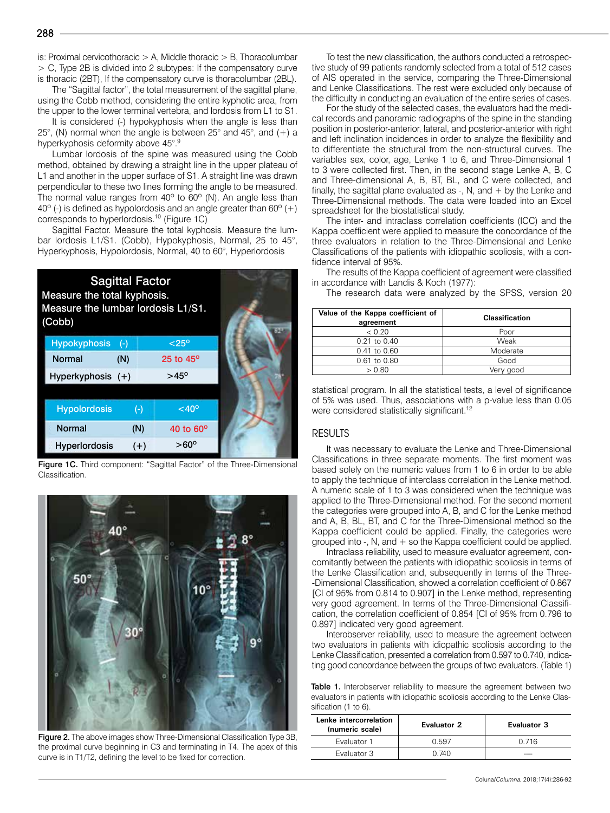is: Proximal cervicothoracic  $> A$ , Middle thoracic  $> B$ , Thoracolumbar > C, Type 2B is divided into 2 subtypes: If the compensatory curve is thoracic (2BT), If the compensatory curve is thoracolumbar (2BL).

The "Sagittal factor", the total measurement of the sagittal plane, using the Cobb method, considering the entire kyphotic area, from the upper to the lower terminal vertebra, and lordosis from L1 to S1.

It is considered (-) hypokyphosis when the angle is less than 25 $^{\circ}$ , (N) normal when the angle is between 25 $^{\circ}$  and 45 $^{\circ}$ , and (+) a hyperkyphosis deformity above 45°.9

Lumbar lordosis of the spine was measured using the Cobb method, obtained by drawing a straight line in the upper plateau of L1 and another in the upper surface of S1. A straight line was drawn perpendicular to these two lines forming the angle to be measured. The normal value ranges from 40° to 60° (N). An angle less than  $40^{\circ}$  (-) is defined as hypolordosis and an angle greater than 60 $^{\circ}$  (+) corresponds to hyperlordosis.10 (Figure 1C)

Sagittal Factor. Measure the total kyphosis. Measure the lumbar lordosis L1/S1. (Cobb), Hypokyphosis, Normal, 25 to 45°, Hyperkyphosis, Hypolordosis, Normal, 40 to 60°, Hyperlordosis



Figure 1C. Third component: "Sagittal Factor" of the Three-Dimensional Classification.



Figure 2. The above images show Three-Dimensional Classification Type 3B, the proximal curve beginning in C3 and terminating in T4. The apex of this curve is in T1/T2, defining the level to be fixed for correction.

To test the new classification, the authors conducted a retrospective study of 99 patients randomly selected from a total of 512 cases of AIS operated in the service, comparing the Three-Dimensional and Lenke Classifications. The rest were excluded only because of the difficulty in conducting an evaluation of the entire series of cases.

For the study of the selected cases, the evaluators had the medical records and panoramic radiographs of the spine in the standing position in posterior-anterior, lateral, and posterior-anterior with right and left inclination incidences in order to analyze the flexibility and to differentiate the structural from the non-structural curves. The variables sex, color, age, Lenke 1 to 6, and Three-Dimensional 1 to 3 were collected first. Then, in the second stage Lenke A, B, C and Three-dimensional A, B, BT, BL, and C were collected, and finally, the sagittal plane evaluated as  $-$ , N, and  $+$  by the Lenke and Three-Dimensional methods. The data were loaded into an Excel spreadsheet for the biostatistical study.

The inter- and intraclass correlation coefficients (ICC) and the Kappa coefficient were applied to measure the concordance of the three evaluators in relation to the Three-Dimensional and Lenke Classifications of the patients with idiopathic scoliosis, with a confidence interval of 95%.

The results of the Kappa coefficient of agreement were classified in accordance with Landis & Koch (1977):

The research data were analyzed by the SPSS, version 20

| Value of the Kappa coefficient of<br>agreement | <b>Classification</b> |  |  |
|------------------------------------------------|-----------------------|--|--|
| < 0.20                                         | Poor                  |  |  |
| 0.21 to 0.40                                   | Weak                  |  |  |
| 0.41 to 0.60                                   | Moderate              |  |  |
| 0.61 to 0.80                                   | Good                  |  |  |
| > 0.80                                         | Verv aood             |  |  |

statistical program. In all the statistical tests, a level of significance of 5% was used. Thus, associations with a p-value less than 0.05 were considered statistically significant.<sup>12</sup>

#### RESULTS

It was necessary to evaluate the Lenke and Three-Dimensional Classifications in three separate moments. The first moment was based solely on the numeric values from 1 to 6 in order to be able to apply the technique of interclass correlation in the Lenke method. A numeric scale of 1 to 3 was considered when the technique was applied to the Three-Dimensional method. For the second moment the categories were grouped into A, B, and C for the Lenke method and A, B, BL, BT, and C for the Three-Dimensional method so the Kappa coefficient could be applied. Finally, the categories were grouped into  $-$ , N, and  $+$  so the Kappa coefficient could be applied.

Intraclass reliability, used to measure evaluator agreement, concomitantly between the patients with idiopathic scoliosis in terms of the Lenke Classification and, subsequently in terms of the Three- -Dimensional Classification, showed a correlation coefficient of 0.867 [CI of 95% from 0.814 to 0.907] in the Lenke method, representing very good agreement. In terms of the Three-Dimensional Classification, the correlation coefficient of 0.854 [CI of 95% from 0.796 to 0.897] indicated very good agreement.

Interobserver reliability, used to measure the agreement between two evaluators in patients with idiopathic scoliosis according to the Lenke Classification, presented a correlation from 0.597 to 0.740, indicating good concordance between the groups of two evaluators. (Table 1)

Table 1. Interobserver reliability to measure the agreement between two evaluators in patients with idiopathic scoliosis according to the Lenke Classification (1 to 6).

| Lenke intercorrelation<br>(numeric scale) | <b>Evaluator 2</b> | <b>Evaluator 3</b> |
|-------------------------------------------|--------------------|--------------------|
| Evaluator 1                               | 0.597              | 0 716              |
| Evaluator 3                               | በ 74በ              |                    |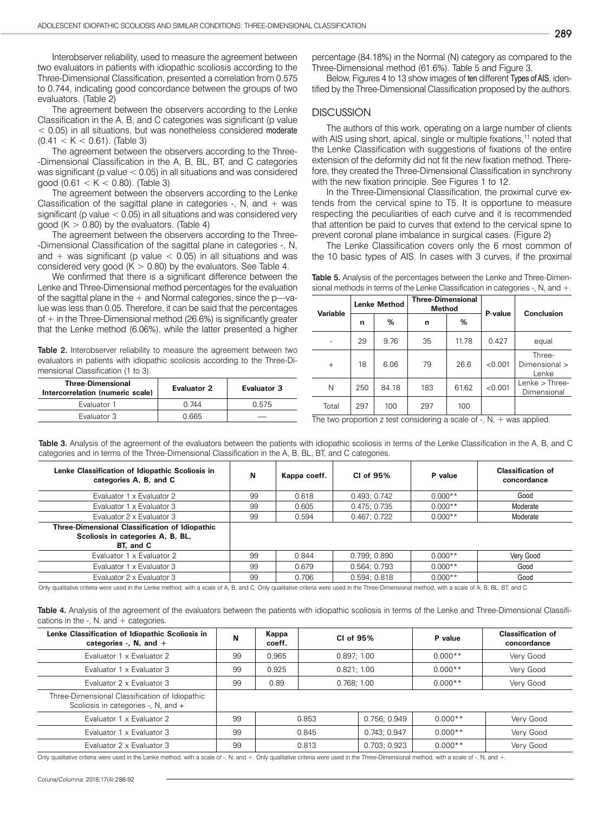Interobserver reliability, used to measure the agreement between two evaluators in patients with idiopathic scoliosis according to the Three-Dimensional Classification, presented a correlation from 0.575 to 0.744, indicating good concordance between the groups of two evaluators. (Table 2)

The agreement between the observers according to the Lenke Classification in the A, B, and C categories was significant (p value < 0.05) in all situations, but was nonetheless considered moderate  $(0.41 < K < 0.61)$ . (Table 3)

The agreement between the observers according to the Three- -Dimensional Classification in the A, B, BL, BT, and C categories was significant (p value < 0.05) in all situations and was considered good (0.61  $<$  K  $<$  0.80). (Table 3)

The agreement between the observers according to the Lenke Classification of the sagittal plane in categories -, N, and  $+$  was significant (p value  $<$  0.05) in all situations and was considered very good  $(K > 0.80)$  by the evaluators. (Table 4)

The agreement between the observers according to the Three- -Dimensional Classification of the sagittal plane in categories -, N, and  $+$  was significant (p value  $<$  0.05) in all situations and was considered very good ( $K > 0.80$ ) by the evaluators. See Table 4.

We confirmed that there is a significant difference between the Lenke and Three-Dimensional method percentages for the evaluation of the sagittal plane in the  $+$  and Normal categories, since the p—value was less than 0.05. Therefore, it can be said that the percentages of  $+$  in the Three-Dimensional method (26.6%) is significantly greater that the Lenke method (6.06%), while the latter presented a higher

Table 2. Interobserver reliability to measure the agreement between two evaluators in patients with idiopathic scoliosis according to the Three-Dimensional Classification (1 to 3).

| <b>Three-Dimensional</b><br>Intercorrelation (numeric scale) | <b>Evaluator 2</b> | <b>Evaluator 3</b> |  |
|--------------------------------------------------------------|--------------------|--------------------|--|
| Evaluator 1                                                  | በ 744              | 0.575              |  |
| Evaluator 3                                                  | 0 665              |                    |  |

percentage (84.18%) in the Normal (N) category as compared to the Three-Dimensional method (61.6%). Table 5 and Figure 3.

Below, Figures 4 to 13 show images of ten different Types of AIS, identified by the Three-Dimensional Classification proposed by the authors.

#### **DISCUSSION**

The authors of this work, operating on a large number of clients with AIS using short, apical, single or multiple fixations,<sup>11</sup> noted that the Lenke Classification with suggestions of fixations of the entire extension of the deformity did not fit the new fixation method. Therefore, they created the Three-Dimensional Classification in synchrony with the new fixation principle. See Figures 1 to 12.

In the Three-Dimensional Classification, the proximal curve extends from the cervical spine to T5. It is opportune to measure respecting the peculiarities of each curve and it is recommended that attention be paid to curves that extend to the cervical spine to prevent coronal plane imbalance in surgical cases. (Figure 2)

The Lenke Classification covers only the 6 most common of the 10 basic types of AIS. In cases with 3 curves, if the proximal

|  |  |  | Table 5. Analysis of the percentages between the Lenke and Three-Dimen-              |
|--|--|--|--------------------------------------------------------------------------------------|
|  |  |  | sional methods in terms of the Lenke Classification in categories $-$ , N, and $+$ . |

| <b>Variable</b> | <b>Lenke Method</b> |       | <b>Three-Dimensional</b><br>Method |       | P-value | Conclusion                       |  |
|-----------------|---------------------|-------|------------------------------------|-------|---------|----------------------------------|--|
|                 | n                   | %     | n                                  | %     |         |                                  |  |
|                 | 29                  | 9.76  | 35                                 | 11.78 | 0.427   | equal                            |  |
| $\ddot{}$       | 18                  | 6.06  | 79                                 | 26.6  | < 0.001 | Three-<br>Dimensional ><br>Lenke |  |
| N               | 250                 | 84.18 | 183                                | 61.62 | < 0.001 | $Lenke$ > Three-<br>Dimensional  |  |
| Total           | 297                 | 100   | 297                                | 100   |         |                                  |  |

The two proportion z test considering a scale of  $-$ , N,  $+$  was applied.

Table 3. Analysis of the agreement of the evaluators between the patients with idiopathic scoliosis in terms of the Lenke Classification in the A, B, and C categories and in terms of the Three-Dimensional Classification in the A, B, BL, BT, and C categories.

| Lenke Classification of Idiopathic Scoliosis in<br>categories A, B, and C                        | N  | Kappa coeff. | CI of 95%    | P value   | <b>Classification of</b><br>concordance |
|--------------------------------------------------------------------------------------------------|----|--------------|--------------|-----------|-----------------------------------------|
| Evaluator 1 x Evaluator 2                                                                        | 99 | 0.618        | 0.493: 0.742 | $0.000**$ | Good                                    |
| Evaluator 1 x Evaluator 3                                                                        | 99 | 0.605        | 0.475; 0.735 | $0.000**$ | Moderate                                |
| Evaluator 2 x Evaluator 3                                                                        | 99 | 0.594        | 0.467:0.722  | $0.000**$ | Moderate                                |
| Three-Dimensional Classification of Idiopathic<br>Scoliosis in categories A, B, BL,<br>BT, and C |    |              |              |           |                                         |
| Evaluator 1 x Evaluator 2                                                                        | 99 | 0.844        | 0.799; 0.890 | $0.000**$ | Very Good                               |
| Evaluator 1 x Evaluator 3                                                                        | 99 | 0.679        | 0.564: 0.793 | $0.000**$ | Good                                    |
| Evaluator 2 x Evaluator 3                                                                        | 99 | 0.706        | 0.594:0.818  | $0.000**$ | Good                                    |

Only qualitative criteria were used in the Lenke method, with a scale of A, B, and C. Only qualitative criteria were used in the Three-Dimensional method, with a scale of A, B, BL, BT, and C.

Table 4. Analysis of the agreement of the evaluators between the patients with idiopathic scoliosis in terms of the Lenke and Three-Dimensional Classifications in the  $-$ . N, and  $+$  categories.

| Lenke Classification of Idiopathic Scoliosis in<br>categories -, $N$ , and +          | N  | Kappa<br>coeff. | CI of 95%   |              | P value   | <b>Classification of</b><br>concordance |
|---------------------------------------------------------------------------------------|----|-----------------|-------------|--------------|-----------|-----------------------------------------|
| Evaluator 1 x Evaluator 2                                                             | 99 | 0.965           | 0.897; 1.00 |              | $0.000**$ | Very Good                               |
| Evaluator 1 x Evaluator 3                                                             | 99 | 0.925           | 0.821; 1.00 |              | $0.000**$ | Very Good                               |
| Evaluator 2 x Evaluator 3                                                             | 99 | 0.89            | 0.768; 1.00 |              | $0.000**$ | Very Good                               |
| Three-Dimensional Classification of Idiopathic<br>Scoliosis in categories -, N, and + |    |                 |             |              |           |                                         |
| Evaluator 1 x Evaluator 2                                                             | 99 | 0.853           |             | 0.756: 0.949 | $0.000**$ | Very Good                               |
| Evaluator 1 x Evaluator 3                                                             | 99 | 0.845           |             | 0.743; 0.947 | $0.000**$ | Very Good                               |
| Evaluator 2 x Evaluator 3                                                             | 99 |                 | 0.813       | 0.703; 0.923 | $0.000**$ | Very Good                               |

Only qualitative criteria were used in the Lenke method, with a scale of -, N, and +. Only qualitative criteria were used in the Three-Dimensional method, with a scale of -, N, and +.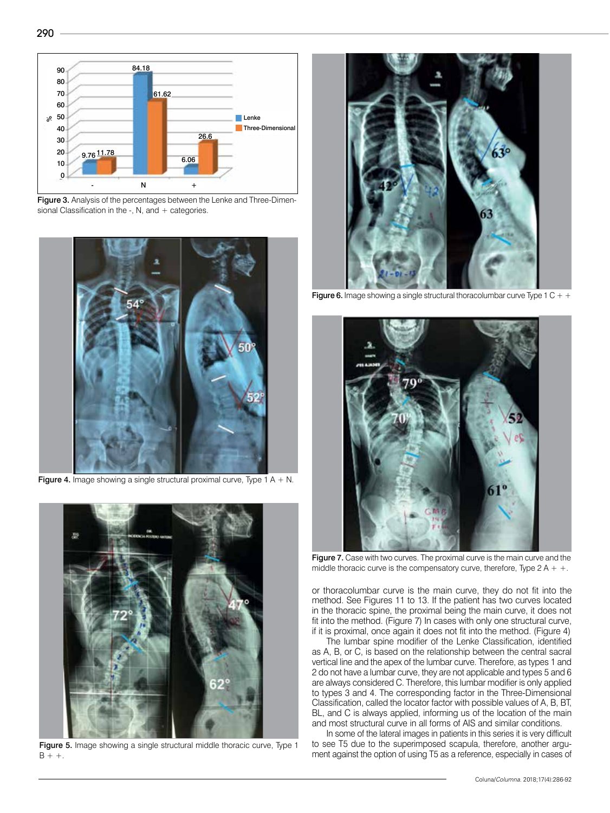

Figure 3. Analysis of the percentages between the Lenke and Three-Dimensional Classification in the -, N, and  $+$  categories.



**Figure 4.** Image showing a single structural proximal curve, Type 1 A  $+$  N.



Figure 5. Image showing a single structural middle thoracic curve, Type 1  $B + +$ .



**Figure 6.** Image showing a single structural thoracolumbar curve Type 1 C  $+$  +



Figure 7. Case with two curves. The proximal curve is the main curve and the middle thoracic curve is the compensatory curve, therefore, Type  $2A + +$ .

or thoracolumbar curve is the main curve, they do not fit into the method. See Figures 11 to 13. If the patient has two curves located in the thoracic spine, the proximal being the main curve, it does not fit into the method. (Figure 7) In cases with only one structural curve, if it is proximal, once again it does not fit into the method. (Figure 4)

The lumbar spine modifier of the Lenke Classification, identified as A, B, or C, is based on the relationship between the central sacral vertical line and the apex of the lumbar curve. Therefore, as types 1 and 2 do not have a lumbar curve, they are not applicable and types 5 and 6 are always considered C. Therefore, this lumbar modifier is only applied to types 3 and 4. The corresponding factor in the Three-Dimensional Classification, called the locator factor with possible values of A, B, BT, BL, and C is always applied, informing us of the location of the main and most structural curve in all forms of AIS and similar conditions.

In some of the lateral images in patients in this series it is very difficult to see T5 due to the superimposed scapula, therefore, another argument against the option of using T5 as a reference, especially in cases of

290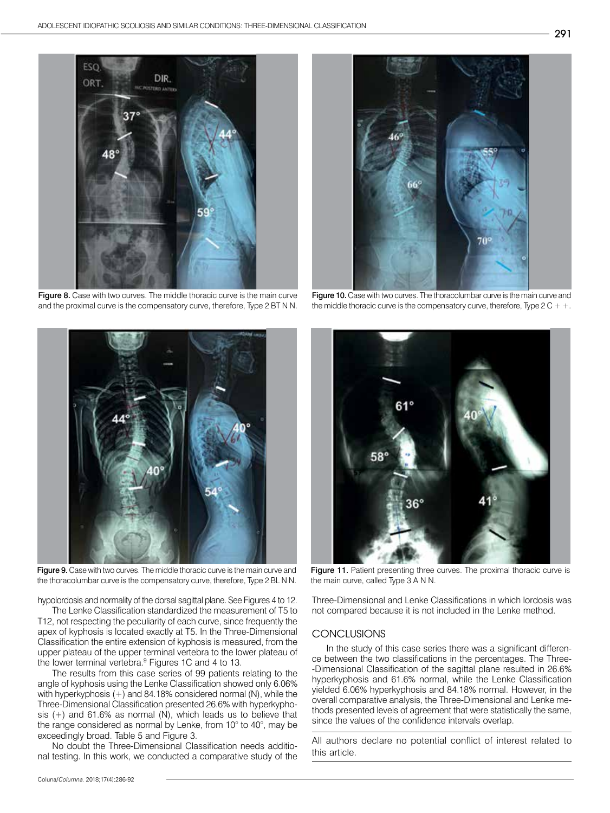

Figure 8. Case with two curves. The middle thoracic curve is the main curve and the proximal curve is the compensatory curve, therefore, Type 2 BT N N.



Figure 9. Case with two curves. The middle thoracic curve is the main curve and the thoracolumbar curve is the compensatory curve, therefore, Type 2 BL N N.

hypolordosis and normality of the dorsal sagittal plane. See Figures 4 to 12.

The Lenke Classification standardized the measurement of T5 to T12, not respecting the peculiarity of each curve, since frequently the apex of kyphosis is located exactly at T5. In the Three-Dimensional Classification the entire extension of kyphosis is measured, from the upper plateau of the upper terminal vertebra to the lower plateau of the lower terminal vertebra.<sup>9</sup> Figures 1C and 4 to 13.

The results from this case series of 99 patients relating to the angle of kyphosis using the Lenke Classification showed only 6.06% with hyperkyphosis (+) and 84.18% considered normal (N), while the Three-Dimensional Classification presented 26.6% with hyperkyphosis  $(+)$  and 61.6% as normal  $(N)$ , which leads us to believe that the range considered as normal by Lenke, from 10° to 40°, may be exceedingly broad. Table 5 and Figure 3.

No doubt the Three-Dimensional Classification needs additional testing. In this work, we conducted a comparative study of the



Figure 10. Case with two curves. The thoracolumbar curve is the main curve and the middle thoracic curve is the compensatory curve, therefore, Type  $2C + +$ .



Figure 11. Patient presenting three curves. The proximal thoracic curve is the main curve, called Type 3 A N N.

Three-Dimensional and Lenke Classifications in which lordosis was not compared because it is not included in the Lenke method.

#### **CONCLUSIONS**

In the study of this case series there was a significant difference between the two classifications in the percentages. The Three- -Dimensional Classification of the sagittal plane resulted in 26.6% hyperkyphosis and 61.6% normal, while the Lenke Classification yielded 6.06% hyperkyphosis and 84.18% normal. However, in the overall comparative analysis, the Three-Dimensional and Lenke methods presented levels of agreement that were statistically the same, since the values of the confidence intervals overlap.

All authors declare no potential conflict of interest related to this article.